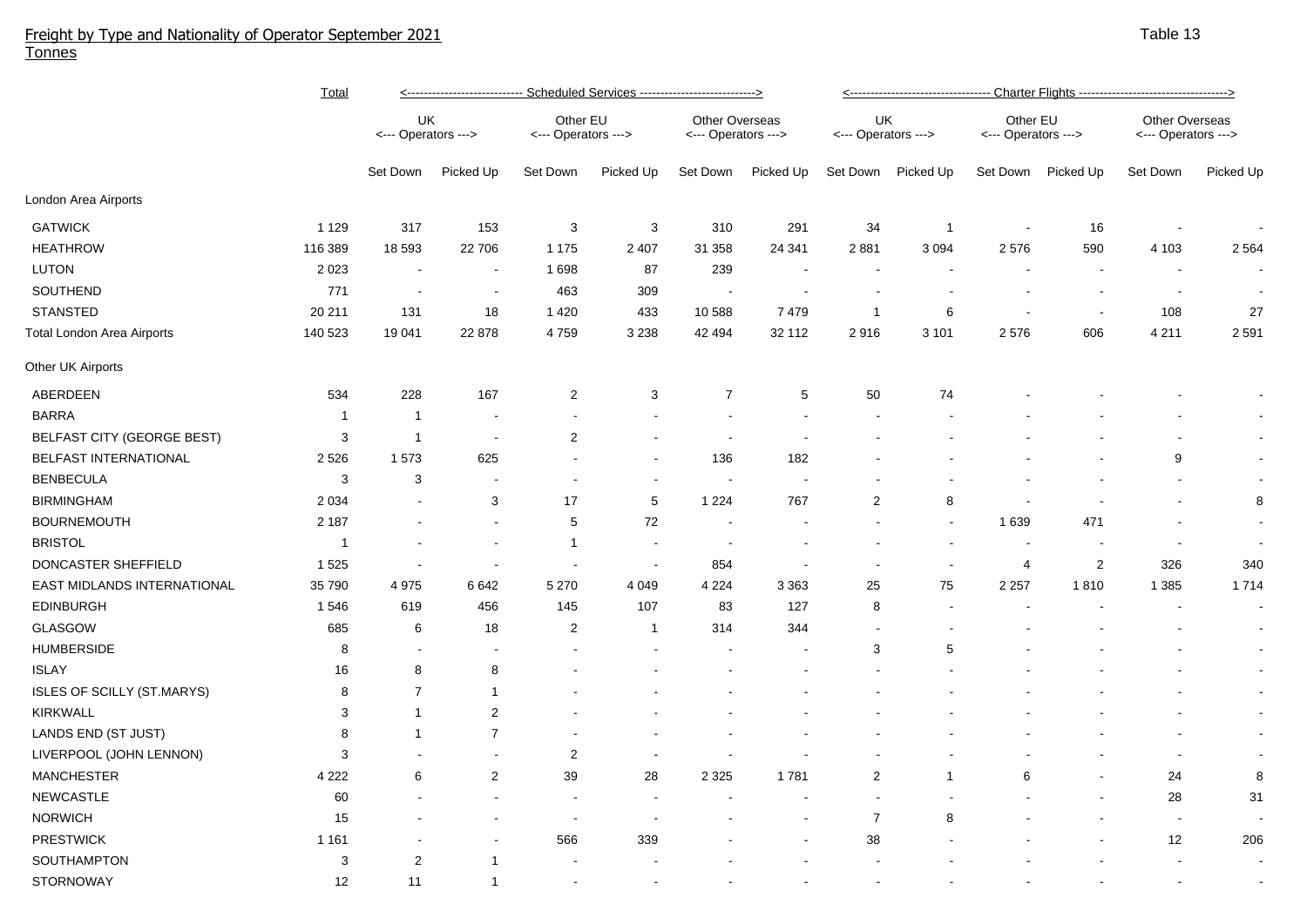## Freight by Type and Nationality of Operator September 2021 Tonnes

|                             | <b>Total</b> | <--------------------------- Scheduled Services ---------------------------> |                          |                                 |                |                                              |           | <u>&lt;--------------------------------- Charter Flights ----------------------------------&gt;</u> |                    |                                 |                |                                       |                |  |
|-----------------------------|--------------|------------------------------------------------------------------------------|--------------------------|---------------------------------|----------------|----------------------------------------------|-----------|-----------------------------------------------------------------------------------------------------|--------------------|---------------------------------|----------------|---------------------------------------|----------------|--|
|                             |              | UK<br><--- Operators --->                                                    |                          | Other EU<br><--- Operators ---> |                | <b>Other Overseas</b><br><--- Operators ---> |           | UK.<br><--- Operators --->                                                                          |                    | Other EU<br><--- Operators ---> |                | Other Overseas<br><--- Operators ---> |                |  |
|                             |              | Set Down                                                                     | Picked Up                | Set Down                        | Picked Up      | Set Down                                     | Picked Up |                                                                                                     | Set Down Picked Up | Set Down                        | Picked Up      | Set Down                              | Picked Up      |  |
| London Area Airports        |              |                                                                              |                          |                                 |                |                                              |           |                                                                                                     |                    |                                 |                |                                       |                |  |
| <b>GATWICK</b>              | 1 1 2 9      | 317                                                                          | 153                      | $\ensuremath{\mathsf{3}}$       | $\sqrt{3}$     | 310                                          | 291       | 34                                                                                                  | $\overline{1}$     |                                 | 16             |                                       |                |  |
| <b>HEATHROW</b>             | 116 389      | 18 593                                                                       | 22 706                   | 1 1 7 5                         | 2 4 0 7        | 31 358                                       | 24 341    | 2881                                                                                                | 3 0 9 4            | 2576                            | 590            | 4 1 0 3                               | 2 5 6 4        |  |
| LUTON                       | 2 0 2 3      |                                                                              |                          | 1698                            | 87             | 239                                          |           |                                                                                                     |                    |                                 |                |                                       |                |  |
| SOUTHEND                    | 771          |                                                                              | $\blacksquare$           | 463                             | 309            |                                              |           |                                                                                                     |                    |                                 |                |                                       |                |  |
| <b>STANSTED</b>             | 20 211       | 131                                                                          | 18                       | 1 4 2 0                         | 433            | 10 588                                       | 7479      | $\overline{1}$                                                                                      | 6                  | $\overline{\phantom{a}}$        | $\sim$         | 108                                   | 27             |  |
| Total London Area Airports  | 140 523      | 19 041                                                                       | 22 878                   | 4759                            | 3 2 3 8        | 42 494                                       | 32 112    | 2916                                                                                                | 3 1 0 1            | 2576                            | 606            | 4 2 1 1                               | 2 5 9 1        |  |
| Other UK Airports           |              |                                                                              |                          |                                 |                |                                              |           |                                                                                                     |                    |                                 |                |                                       |                |  |
| ABERDEEN                    | 534          | 228                                                                          | 167                      | $\overline{2}$                  | 3              | $\overline{7}$                               | 5         | 50                                                                                                  | 74                 |                                 |                |                                       |                |  |
| <b>BARRA</b>                | $\mathbf{1}$ | $\overline{1}$                                                               |                          |                                 |                |                                              |           |                                                                                                     |                    |                                 |                |                                       |                |  |
| BELFAST CITY (GEORGE BEST)  | 3            | $\overline{1}$                                                               | $\overline{\phantom{a}}$ | $\overline{2}$                  |                |                                              |           |                                                                                                     |                    |                                 |                |                                       |                |  |
| BELFAST INTERNATIONAL       | 2 5 2 6      | 1573                                                                         | 625                      |                                 |                | 136                                          | 182       |                                                                                                     |                    |                                 |                | 9                                     | $\sim$         |  |
| <b>BENBECULA</b>            | 3            | 3                                                                            |                          |                                 |                |                                              |           |                                                                                                     |                    |                                 |                |                                       |                |  |
| <b>BIRMINGHAM</b>           | 2 0 3 4      |                                                                              | 3                        | 17                              | $\,$ 5 $\,$    | 1 2 2 4                                      | 767       | $\overline{c}$                                                                                      | 8                  |                                 |                |                                       | 8              |  |
| <b>BOURNEMOUTH</b>          | 2 1 8 7      |                                                                              | $\blacksquare$           | 5                               | $72\,$         |                                              |           |                                                                                                     |                    | 1 6 3 9                         | 471            |                                       | $\sim$         |  |
| <b>BRISTOL</b>              | $\mathbf{1}$ |                                                                              |                          | $\mathbf{1}$                    |                |                                              |           |                                                                                                     |                    | $\overline{\phantom{a}}$        |                | $\sim$                                | $\sim$         |  |
| DONCASTER SHEFFIELD         | 1 5 2 5      |                                                                              |                          |                                 |                | 854                                          |           |                                                                                                     |                    | $\overline{4}$                  | $\overline{2}$ | 326                                   | 340            |  |
| EAST MIDLANDS INTERNATIONAL | 35 790       | 4975                                                                         | 6642                     | 5 2 7 0                         | 4 0 4 9        | 4 2 2 4                                      | 3 3 6 3   | 25                                                                                                  | 75                 | 2 2 5 7                         | 1810           | 1 3 8 5                               | 1714           |  |
| <b>EDINBURGH</b>            | 1546         | 619                                                                          | 456                      | 145                             | 107            | 83                                           | 127       | 8                                                                                                   |                    |                                 |                |                                       | $\sim$         |  |
| <b>GLASGOW</b>              | 685          | 6                                                                            | 18                       | 2                               | $\overline{1}$ | 314                                          | 344       |                                                                                                     |                    |                                 |                |                                       | $\sim$         |  |
| <b>HUMBERSIDE</b>           | 8            |                                                                              |                          |                                 |                |                                              |           | 3                                                                                                   | 5                  |                                 |                |                                       | $\sim$         |  |
| <b>ISLAY</b>                | 16           | 8                                                                            | 8                        |                                 |                |                                              |           |                                                                                                     |                    |                                 |                |                                       | $\sim$         |  |
| ISLES OF SCILLY (ST.MARYS)  | 8            | $\overline{7}$                                                               | $\mathbf{1}$             |                                 |                |                                              |           |                                                                                                     |                    |                                 |                |                                       | $\sim$         |  |
| KIRKWALL                    | 3            | 1                                                                            | $\overline{2}$           |                                 |                |                                              |           |                                                                                                     |                    |                                 |                |                                       | $\sim$         |  |
| LANDS END (ST JUST)         | 8            | -1                                                                           | $\overline{7}$           |                                 |                |                                              |           |                                                                                                     |                    |                                 |                |                                       | $\sim$         |  |
| LIVERPOOL (JOHN LENNON)     | 3            |                                                                              |                          | $\overline{2}$                  |                |                                              |           |                                                                                                     |                    |                                 |                |                                       | $\blacksquare$ |  |
| <b>MANCHESTER</b>           | 4 2 2 2      | 6                                                                            | $\sqrt{2}$               | 39                              | 28             | 2 3 2 5                                      | 1781      | $\overline{c}$                                                                                      | $\mathbf 1$        | 6                               |                | 24                                    | $\bf 8$        |  |
| <b>NEWCASTLE</b>            | 60           |                                                                              |                          |                                 |                |                                              |           |                                                                                                     |                    |                                 |                | 28                                    | 31             |  |
| <b>NORWICH</b>              | 15           |                                                                              |                          |                                 |                |                                              |           | $\overline{7}$                                                                                      | 8                  |                                 |                | $\sim$                                |                |  |
| <b>PRESTWICK</b>            | 1 1 6 1      |                                                                              |                          | 566                             | 339            |                                              |           | 38                                                                                                  |                    |                                 |                | 12                                    | 206            |  |
| SOUTHAMPTON                 | 3            | $\mathbf 2$                                                                  | -1                       |                                 |                |                                              |           |                                                                                                     |                    |                                 |                |                                       |                |  |
| STORNOWAY                   | 12           | 11                                                                           | $\mathbf{1}$             |                                 |                |                                              |           |                                                                                                     |                    |                                 |                |                                       |                |  |